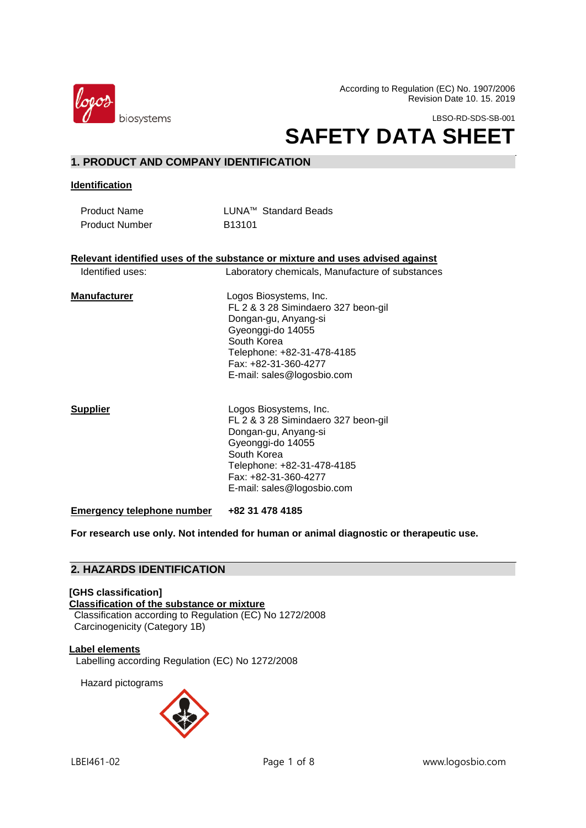

According to Regulation (EC) No. 1907/2006 Revision Date 10. 15. 2019

LBSO-RD-SDS-SB-001

# **SAFETY DATA SHEET**

# **1. PRODUCT AND COMPANY IDENTIFICATION**

**Identification**

Product Name LUNA™ Standard Beads Product Number B13101

#### **Relevant identified uses of the substance or mixture and uses advised against**

Identified uses: Laboratory chemicals, Manufacture of substances

#### **Manufacturer**  Logos Biosystems, Inc. FL 2 & 3 28 Simindaero 327 beon-gil Dongan-gu, Anyang-si Gyeonggi-do 14055 South Korea Telephone: +82-31-478-4185 Fax: +82-31-360-4277 E-mail: sales@logosbio.com

**Supplier** Logos Biosystems, Inc. FL 2 & 3 28 Simindaero 327 beon-gil Dongan-gu, Anyang-si Gyeonggi-do 14055 South Korea Telephone: +82-31-478-4185 Fax: +82-31-360-4277 E-mail: sales@logosbio.com

**Emergency telephone number +82 31 478 4185**

**For research use only. Not intended for human or animal diagnostic or therapeutic use.**

# **2. HAZARDS IDENTIFICATION**

**[GHS classification] Classification of the substance or mixture** Classification according to Regulation (EC) No 1272/2008 Carcinogenicity (Category 1B)

**Label elements** Labelling according Regulation (EC) No 1272/2008

Hazard pictograms

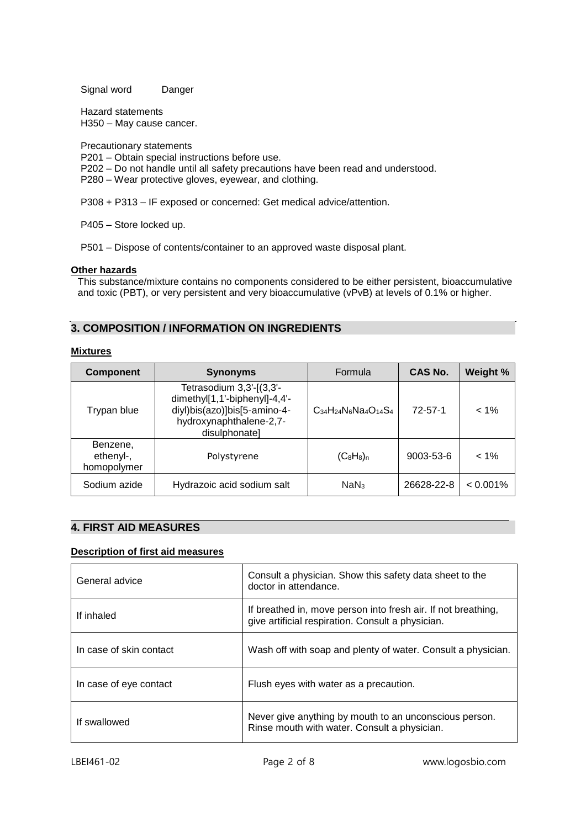Signal word Danger

Hazard statements H350 – May cause cancer.

Precautionary statements

- P201 Obtain special instructions before use.
- P202 Do not handle until all safety precautions have been read and understood.
- P280 Wear protective gloves, eyewear, and clothing.

P308 + P313 – IF exposed or concerned: Get medical advice/attention.

P405 – Store locked up.

P501 – Dispose of contents/container to an approved waste disposal plant.

#### **Other hazards**

This substance/mixture contains no components considered to be either persistent, bioaccumulative and toxic (PBT), or very persistent and very bioaccumulative (vPvB) at levels of 0.1% or higher.

# **3. COMPOSITION / INFORMATION ON INGREDIENTS**

#### **Mixtures**

 $\overline{a}$ 

| <b>Component</b>                     | <b>Synonyms</b>                                                                                                                       | Formula                        | <b>CAS No.</b> | Weight %    |
|--------------------------------------|---------------------------------------------------------------------------------------------------------------------------------------|--------------------------------|----------------|-------------|
| Trypan blue                          | Tetrasodium 3,3'-[(3,3'-<br>dimethyl[1,1'-biphenyl]-4,4'-<br>diyl)bis(azo)]bis[5-amino-4-<br>hydroxynaphthalene-2,7-<br>disulphonatel | $C_{34}H_{24}N_6Na_4O_{14}S_4$ | $72 - 57 - 1$  | $< 1\%$     |
| Benzene,<br>ethenyl-,<br>homopolymer | Polystyrene                                                                                                                           | $(C_8H_8)_n$                   | 9003-53-6      | $< 1\%$     |
| Sodium azide                         | Hydrazoic acid sodium salt                                                                                                            | NaN <sub>3</sub>               | 26628-22-8     | $< 0.001\%$ |

# **4. FIRST AID MEASURES**

# **Description of first aid measures**

| General advice          | Consult a physician. Show this safety data sheet to the<br>doctor in attendance.                                   |
|-------------------------|--------------------------------------------------------------------------------------------------------------------|
| If inhaled              | If breathed in, move person into fresh air. If not breathing,<br>give artificial respiration. Consult a physician. |
| In case of skin contact | Wash off with soap and plenty of water. Consult a physician.                                                       |
| In case of eye contact  | Flush eyes with water as a precaution.                                                                             |
| If swallowed            | Never give anything by mouth to an unconscious person.<br>Rinse mouth with water. Consult a physician.             |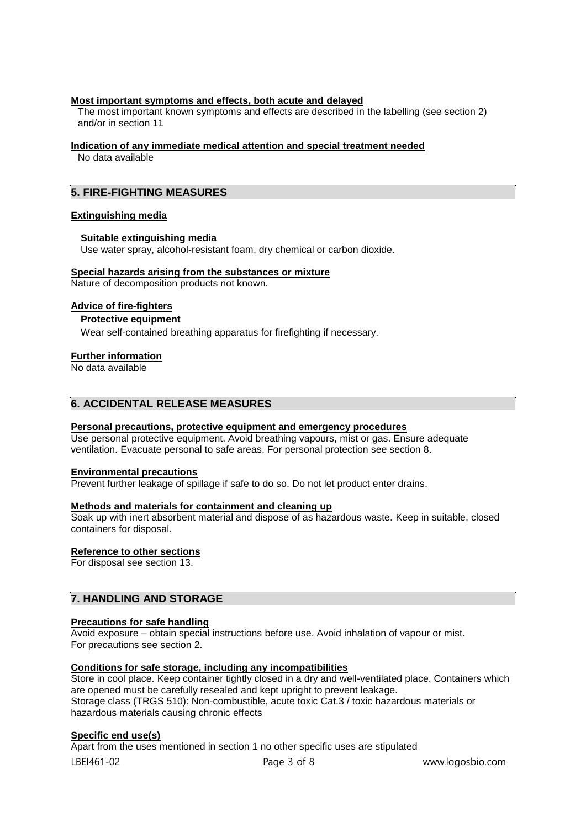#### **Most important symptoms and effects, both acute and delayed**

The most important known symptoms and effects are described in the labelling (see section 2) and/or in section 11

#### **Indication of any immediate medical attention and special treatment needed**

No data available

# **5. FIRE-FIGHTING MEASURES**

#### **Extinguishing media**

#### **Suitable extinguishing media**

Use water spray, alcohol-resistant foam, dry chemical or carbon dioxide.

#### **Special hazards arising from the substances or mixture**

Nature of decomposition products not known.

#### **Advice of fire-fighters**

# **Protective equipment**

Wear self-contained breathing apparatus for firefighting if necessary.

#### **Further information**

No data available

# **6. ACCIDENTAL RELEASE MEASURES**

#### **Personal precautions, protective equipment and emergency procedures**

Use personal protective equipment. Avoid breathing vapours, mist or gas. Ensure adequate ventilation. Evacuate personal to safe areas. For personal protection see section 8.

#### **Environmental precautions**

Prevent further leakage of spillage if safe to do so. Do not let product enter drains.

#### **Methods and materials for containment and cleaning up**

Soak up with inert absorbent material and dispose of as hazardous waste. Keep in suitable, closed containers for disposal.

#### **Reference to other sections**

For disposal see section 13.

# **7. HANDLING AND STORAGE**

# **Precautions for safe handling**

Avoid exposure – obtain special instructions before use. Avoid inhalation of vapour or mist. For precautions see section 2.

#### **Conditions for safe storage, including any incompatibilities**

Store in cool place. Keep container tightly closed in a dry and well-ventilated place. Containers which are opened must be carefully resealed and kept upright to prevent leakage. Storage class (TRGS 510): Non-combustible, acute toxic Cat.3 / toxic hazardous materials or hazardous materials causing chronic effects

#### **Specific end use(s)**

LBEI461-02 Page 3 of 8 www.logosbio.com Apart from the uses mentioned in section 1 no other specific uses are stipulated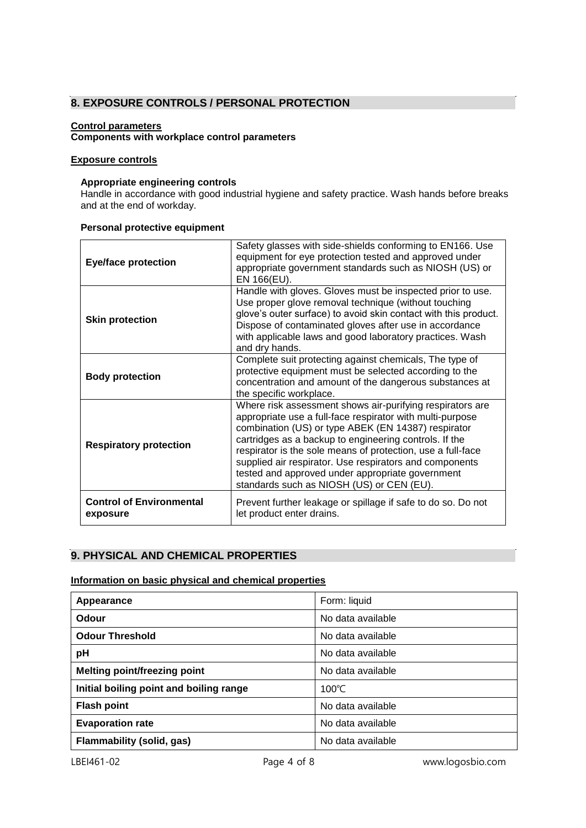# **8. EXPOSURE CONTROLS / PERSONAL PROTECTION**

#### **Control parameters**

# **Components with workplace control parameters**

#### **Exposure controls**

#### **Appropriate engineering controls**

Handle in accordance with good industrial hygiene and safety practice. Wash hands before breaks and at the end of workday.

# **Personal protective equipment**

| <b>Eye/face protection</b>                  | Safety glasses with side-shields conforming to EN166. Use<br>equipment for eye protection tested and approved under<br>appropriate government standards such as NIOSH (US) or<br>EN 166(EU).                                                                                                                                                                                                                                                                       |  |
|---------------------------------------------|--------------------------------------------------------------------------------------------------------------------------------------------------------------------------------------------------------------------------------------------------------------------------------------------------------------------------------------------------------------------------------------------------------------------------------------------------------------------|--|
| <b>Skin protection</b>                      | Handle with gloves. Gloves must be inspected prior to use.<br>Use proper glove removal technique (without touching<br>glove's outer surface) to avoid skin contact with this product.<br>Dispose of contaminated gloves after use in accordance<br>with applicable laws and good laboratory practices. Wash<br>and dry hands.                                                                                                                                      |  |
| <b>Body protection</b>                      | Complete suit protecting against chemicals, The type of<br>protective equipment must be selected according to the<br>concentration and amount of the dangerous substances at<br>the specific workplace.                                                                                                                                                                                                                                                            |  |
| <b>Respiratory protection</b>               | Where risk assessment shows air-purifying respirators are<br>appropriate use a full-face respirator with multi-purpose<br>combination (US) or type ABEK (EN 14387) respirator<br>cartridges as a backup to engineering controls. If the<br>respirator is the sole means of protection, use a full-face<br>supplied air respirator. Use respirators and components<br>tested and approved under appropriate government<br>standards such as NIOSH (US) or CEN (EU). |  |
| <b>Control of Environmental</b><br>exposure | Prevent further leakage or spillage if safe to do so. Do not<br>let product enter drains.                                                                                                                                                                                                                                                                                                                                                                          |  |

# **9. PHYSICAL AND CHEMICAL PROPERTIES**

# **Information on basic physical and chemical properties**

| Appearance                              | Form: liquid      |
|-----------------------------------------|-------------------|
| Odour                                   | No data available |
| <b>Odour Threshold</b>                  | No data available |
| pH                                      | No data available |
| <b>Melting point/freezing point</b>     | No data available |
| Initial boiling point and boiling range | $100^{\circ}$ C   |
| <b>Flash point</b>                      | No data available |
| <b>Evaporation rate</b>                 | No data available |
| Flammability (solid, gas)               | No data available |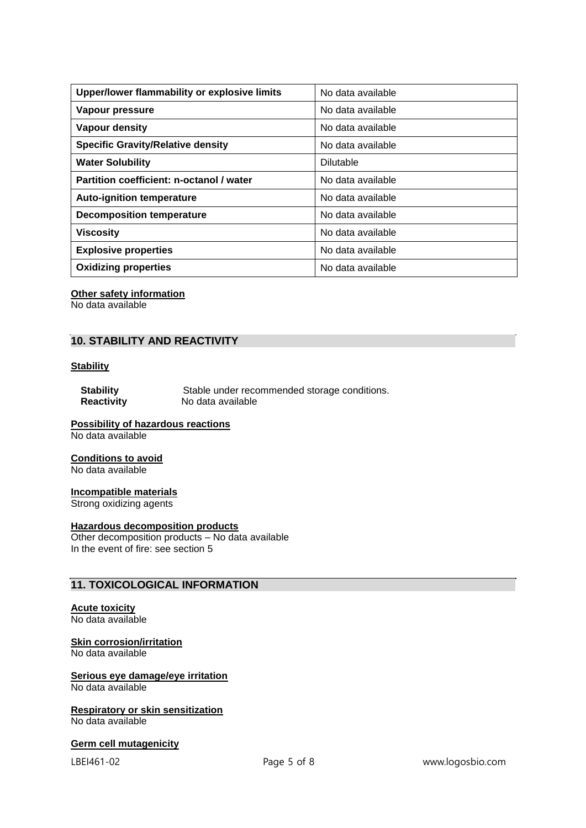| Upper/lower flammability or explosive limits | No data available |
|----------------------------------------------|-------------------|
| Vapour pressure                              | No data available |
| Vapour density                               | No data available |
| <b>Specific Gravity/Relative density</b>     | No data available |
| <b>Water Solubility</b>                      | <b>Dilutable</b>  |
| Partition coefficient: n-octanol / water     | No data available |
| <b>Auto-ignition temperature</b>             | No data available |
| <b>Decomposition temperature</b>             | No data available |
| <b>Viscosity</b>                             | No data available |
| <b>Explosive properties</b>                  | No data available |
| <b>Oxidizing properties</b>                  | No data available |

#### **Other safety information**

No data available

# **10. STABILITY AND REACTIVITY**

# **Stability**

**Stability** Stable under recommended storage conditions.<br> **Reactivity** No data available **Reactivity** No data available

# **Possibility of hazardous reactions**

No data available

#### **Conditions to avoid**

No data available

#### **Incompatible materials**

Strong oxidizing agents

#### **Hazardous decomposition products**

Other decomposition products – No data available In the event of fire: see section 5

# **11. TOXICOLOGICAL INFORMATION**

# **Acute toxicity**

No data available

#### **Skin corrosion/irritation**

No data available

# **Serious eye damage/eye irritation**

No data available

# **Respiratory or skin sensitization**

No data available

# **Germ cell mutagenicity**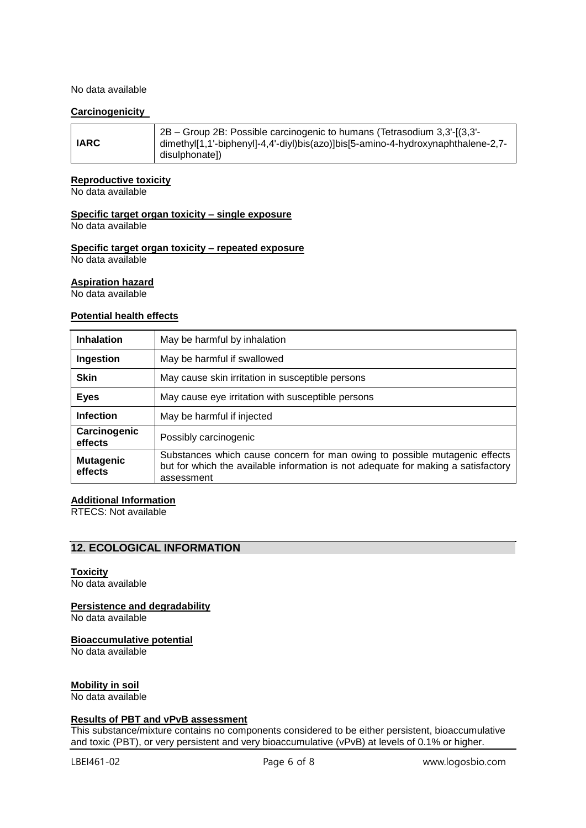#### No data available

#### **Carcinogenicity**

#### **Reproductive toxicity**

No data available

# **Specific target organ toxicity – single exposure**

No data available

#### **Specific target organ toxicity – repeated exposure** No data available

# **Aspiration hazard**

No data available

# **Potential health effects**

| <b>Inhalation</b>           | May be harmful by inhalation                                                                                                                                                  |
|-----------------------------|-------------------------------------------------------------------------------------------------------------------------------------------------------------------------------|
| Ingestion                   | May be harmful if swallowed                                                                                                                                                   |
| <b>Skin</b>                 | May cause skin irritation in susceptible persons                                                                                                                              |
| <b>Eyes</b>                 | May cause eye irritation with susceptible persons                                                                                                                             |
| <b>Infection</b>            | May be harmful if injected                                                                                                                                                    |
| Carcinogenic<br>effects     | Possibly carcinogenic                                                                                                                                                         |
| <b>Mutagenic</b><br>effects | Substances which cause concern for man owing to possible mutagenic effects<br>but for which the available information is not adequate for making a satisfactory<br>assessment |

# **Additional Information**

RTECS: Not available

# **12. ECOLOGICAL INFORMATION**

#### **Toxicity**

No data available

# **Persistence and degradability**

No data available

#### **Bioaccumulative potential**

No data available

# **Mobility in soil**

No data available

#### **Results of PBT and vPvB assessment**

This substance/mixture contains no components considered to be either persistent, bioaccumulative and toxic (PBT), or very persistent and very bioaccumulative (vPvB) at levels of 0.1% or higher.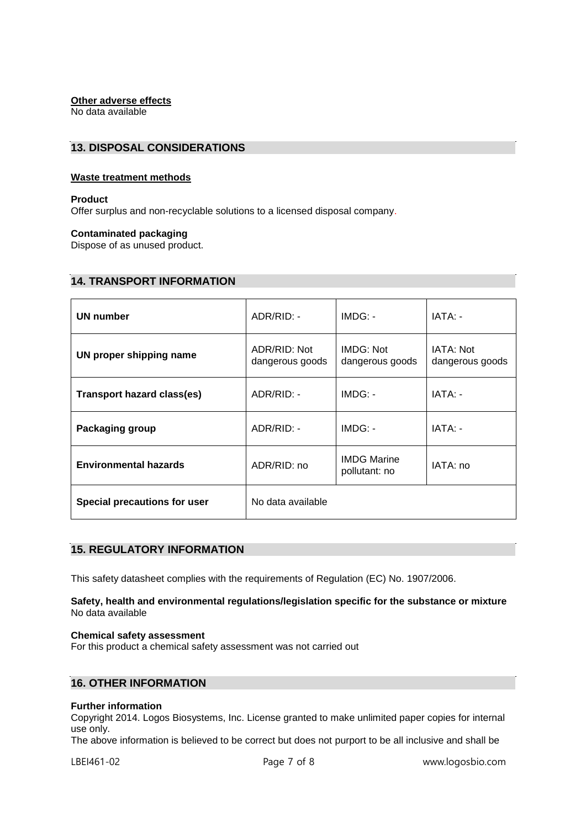# **Other adverse effects**

No data available

# **13. DISPOSAL CONSIDERATIONS**

# **Waste treatment methods**

#### **Product**

Offer surplus and non-recyclable solutions to a licensed disposal company.

#### **Contaminated packaging**

Dispose of as unused product.

# **14. TRANSPORT INFORMATION**

| <b>UN number</b>                  | ADR/RID: -                      | $IMDG: -$                           | IATA: -                      |
|-----------------------------------|---------------------------------|-------------------------------------|------------------------------|
| UN proper shipping name           | ADR/RID: Not<br>dangerous goods | IMDG: Not<br>dangerous goods        | IATA: Not<br>dangerous goods |
| <b>Transport hazard class(es)</b> | ADR/RID: -                      | $IMDG: -$                           | IATA: -                      |
| Packaging group                   | ADR/RID: -                      | $IMDG: -$                           | IATA: -                      |
| <b>Environmental hazards</b>      | ADR/RID: no                     | <b>IMDG Marine</b><br>pollutant: no | IATA: no                     |
| Special precautions for user      | No data available               |                                     |                              |

# **15. REGULATORY INFORMATION**

This safety datasheet complies with the requirements of Regulation (EC) No. 1907/2006.

#### **Safety, health and environmental regulations/legislation specific for the substance or mixture** No data available

#### **Chemical safety assessment**

For this product a chemical safety assessment was not carried out

# **16. OTHER INFORMATION**

#### **Further information**

Copyright 2014. Logos Biosystems, Inc. License granted to make unlimited paper copies for internal use only.

The above information is believed to be correct but does not purport to be all inclusive and shall be

LBEI461-02 Page 7 of 8 www.logosbio.com